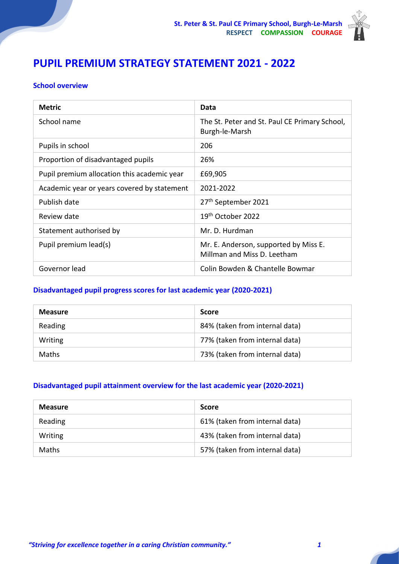

# **PUPIL PREMIUM STRATEGY STATEMENT 2021 - 2022**

#### **School overview**

| <b>Metric</b>                               | Data                                                                 |
|---------------------------------------------|----------------------------------------------------------------------|
| School name                                 | The St. Peter and St. Paul CE Primary School,<br>Burgh-le-Marsh      |
| Pupils in school                            | 206                                                                  |
| Proportion of disadvantaged pupils          | 26%                                                                  |
| Pupil premium allocation this academic year | £69,905                                                              |
| Academic year or years covered by statement | 2021-2022                                                            |
| Publish date                                | 27 <sup>th</sup> September 2021                                      |
| Review date                                 | 19 <sup>th</sup> October 2022                                        |
| Statement authorised by                     | Mr. D. Hurdman                                                       |
| Pupil premium lead(s)                       | Mr. E. Anderson, supported by Miss E.<br>Millman and Miss D. Leetham |
| Governor lead                               | Colin Bowden & Chantelle Bowmar                                      |

# **Disadvantaged pupil progress scores for last academic year (2020-2021)**

| <b>Measure</b> | <b>Score</b>                   |
|----------------|--------------------------------|
| Reading        | 84% (taken from internal data) |
| Writing        | 77% (taken from internal data) |
| <b>Maths</b>   | 73% (taken from internal data) |

#### **Disadvantaged pupil attainment overview for the last academic year (2020-2021)**

| <b>Measure</b> | <b>Score</b>                   |
|----------------|--------------------------------|
| Reading        | 61% (taken from internal data) |
| Writing        | 43% (taken from internal data) |
| <b>Maths</b>   | 57% (taken from internal data) |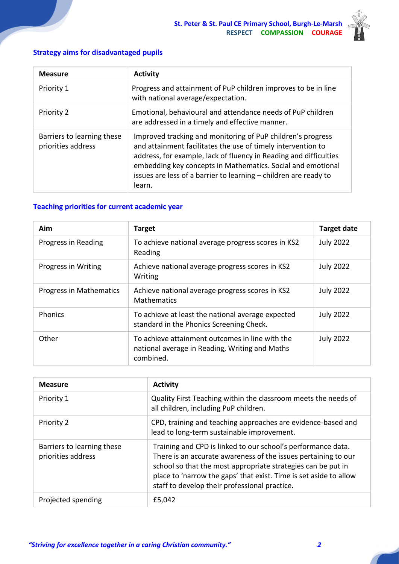

### **Strategy aims for disadvantaged pupils**

| <b>Measure</b>                                   | <b>Activity</b>                                                                                                                                                                                                                                                                                                                               |
|--------------------------------------------------|-----------------------------------------------------------------------------------------------------------------------------------------------------------------------------------------------------------------------------------------------------------------------------------------------------------------------------------------------|
| Priority 1                                       | Progress and attainment of PuP children improves to be in line<br>with national average/expectation.                                                                                                                                                                                                                                          |
| Priority 2                                       | Emotional, behavioural and attendance needs of PuP children<br>are addressed in a timely and effective manner.                                                                                                                                                                                                                                |
| Barriers to learning these<br>priorities address | Improved tracking and monitoring of PuP children's progress<br>and attainment facilitates the use of timely intervention to<br>address, for example, lack of fluency in Reading and difficulties<br>embedding key concepts in Mathematics. Social and emotional<br>issues are less of a barrier to learning – children are ready to<br>learn. |

### **Teaching priorities for current academic year**

| Aim                     | <b>Target</b>                                                                                                  | <b>Target date</b> |
|-------------------------|----------------------------------------------------------------------------------------------------------------|--------------------|
| Progress in Reading     | To achieve national average progress scores in KS2<br>Reading                                                  | <b>July 2022</b>   |
| Progress in Writing     | Achieve national average progress scores in KS2<br>Writing                                                     | <b>July 2022</b>   |
| Progress in Mathematics | Achieve national average progress scores in KS2<br><b>Mathematics</b>                                          | <b>July 2022</b>   |
| Phonics                 | To achieve at least the national average expected<br>standard in the Phonics Screening Check.                  | <b>July 2022</b>   |
| Other                   | To achieve attainment outcomes in line with the<br>national average in Reading, Writing and Maths<br>combined. | <b>July 2022</b>   |

| <b>Measure</b>                                   | <b>Activity</b>                                                                                                                                                                                                                                                                                                      |
|--------------------------------------------------|----------------------------------------------------------------------------------------------------------------------------------------------------------------------------------------------------------------------------------------------------------------------------------------------------------------------|
| Priority 1                                       | Quality First Teaching within the classroom meets the needs of<br>all children, including PuP children.                                                                                                                                                                                                              |
| Priority 2                                       | CPD, training and teaching approaches are evidence-based and<br>lead to long-term sustainable improvement.                                                                                                                                                                                                           |
| Barriers to learning these<br>priorities address | Training and CPD is linked to our school's performance data.<br>There is an accurate awareness of the issues pertaining to our<br>school so that the most appropriate strategies can be put in<br>place to 'narrow the gaps' that exist. Time is set aside to allow<br>staff to develop their professional practice. |
| Projected spending                               | £5,042                                                                                                                                                                                                                                                                                                               |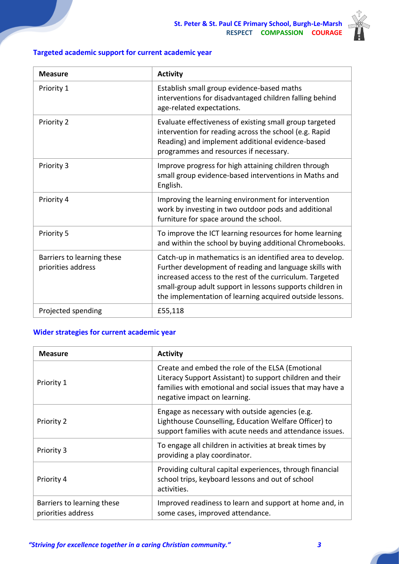

### **Targeted academic support for current academic year**

| <b>Measure</b>                                   | <b>Activity</b>                                                                                                                                                                                                                                                                                           |
|--------------------------------------------------|-----------------------------------------------------------------------------------------------------------------------------------------------------------------------------------------------------------------------------------------------------------------------------------------------------------|
| Priority 1                                       | Establish small group evidence-based maths<br>interventions for disadvantaged children falling behind<br>age-related expectations.                                                                                                                                                                        |
| Priority 2                                       | Evaluate effectiveness of existing small group targeted<br>intervention for reading across the school (e.g. Rapid<br>Reading) and implement additional evidence-based<br>programmes and resources if necessary.                                                                                           |
| Priority 3                                       | Improve progress for high attaining children through<br>small group evidence-based interventions in Maths and<br>English.                                                                                                                                                                                 |
| Priority 4                                       | Improving the learning environment for intervention<br>work by investing in two outdoor pods and additional<br>furniture for space around the school.                                                                                                                                                     |
| Priority 5                                       | To improve the ICT learning resources for home learning<br>and within the school by buying additional Chromebooks.                                                                                                                                                                                        |
| Barriers to learning these<br>priorities address | Catch-up in mathematics is an identified area to develop.<br>Further development of reading and language skills with<br>increased access to the rest of the curriculum. Targeted<br>small-group adult support in lessons supports children in<br>the implementation of learning acquired outside lessons. |
| Projected spending                               | £55,118                                                                                                                                                                                                                                                                                                   |

#### **Wider strategies for current academic year**

| <b>Measure</b>                                   | <b>Activity</b>                                                                                                                                                                                            |
|--------------------------------------------------|------------------------------------------------------------------------------------------------------------------------------------------------------------------------------------------------------------|
| Priority 1                                       | Create and embed the role of the ELSA (Emotional<br>Literacy Support Assistant) to support children and their<br>families with emotional and social issues that may have a<br>negative impact on learning. |
| Priority 2                                       | Engage as necessary with outside agencies (e.g.<br>Lighthouse Counselling, Education Welfare Officer) to<br>support families with acute needs and attendance issues.                                       |
| Priority 3                                       | To engage all children in activities at break times by<br>providing a play coordinator.                                                                                                                    |
| Priority 4                                       | Providing cultural capital experiences, through financial<br>school trips, keyboard lessons and out of school<br>activities.                                                                               |
| Barriers to learning these<br>priorities address | Improved readiness to learn and support at home and, in<br>some cases, improved attendance.                                                                                                                |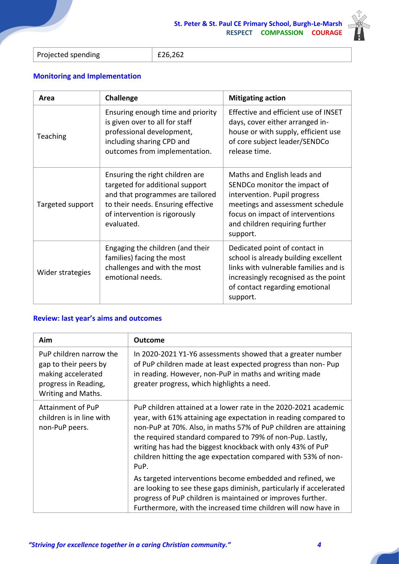

 $£26,262$ 

## **Monitoring and Implementation**

| Area             | Challenge                                                                                                                                                                                   | <b>Mitigating action</b>                                                                                                                                                                                          |
|------------------|---------------------------------------------------------------------------------------------------------------------------------------------------------------------------------------------|-------------------------------------------------------------------------------------------------------------------------------------------------------------------------------------------------------------------|
| Teaching         | Ensuring enough time and priority<br>is given over to all for staff<br>professional development,<br>including sharing CPD and<br>outcomes from implementation.                              | Effective and efficient use of INSET<br>days, cover either arranged in-<br>house or with supply, efficient use<br>of core subject leader/SENDCo<br>release time.                                                  |
| Targeted support | Ensuring the right children are<br>targeted for additional support<br>and that programmes are tailored<br>to their needs. Ensuring effective<br>of intervention is rigorously<br>evaluated. | Maths and English leads and<br>SENDCo monitor the impact of<br>intervention. Pupil progress<br>meetings and assessment schedule<br>focus on impact of interventions<br>and children requiring further<br>support. |
| Wider strategies | Engaging the children (and their<br>families) facing the most<br>challenges and with the most<br>emotional needs.                                                                           | Dedicated point of contact in<br>school is already building excellent<br>links with vulnerable families and is<br>increasingly recognised as the point<br>of contact regarding emotional<br>support.              |

#### **Review: last year's aims and outcomes**

| Aim                                                                                                                  | Outcome                                                                                                                                                                                                                                                                                                                                                                                                     |
|----------------------------------------------------------------------------------------------------------------------|-------------------------------------------------------------------------------------------------------------------------------------------------------------------------------------------------------------------------------------------------------------------------------------------------------------------------------------------------------------------------------------------------------------|
| PuP children narrow the<br>gap to their peers by<br>making accelerated<br>progress in Reading,<br>Writing and Maths. | In 2020-2021 Y1-Y6 assessments showed that a greater number<br>of PuP children made at least expected progress than non-Pup<br>in reading. However, non-PuP in maths and writing made<br>greater progress, which highlights a need.                                                                                                                                                                         |
| Attainment of PuP<br>children is in line with<br>non-PuP peers.                                                      | PuP children attained at a lower rate in the 2020-2021 academic<br>year, with 61% attaining age expectation in reading compared to<br>non-PuP at 70%. Also, in maths 57% of PuP children are attaining<br>the required standard compared to 79% of non-Pup. Lastly,<br>writing has had the biggest knockback with only 43% of PuP<br>children hitting the age expectation compared with 53% of non-<br>PuP. |
|                                                                                                                      | As targeted interventions become embedded and refined, we<br>are looking to see these gaps diminish, particularly if accelerated<br>progress of PuP children is maintained or improves further.<br>Furthermore, with the increased time children will now have in                                                                                                                                           |